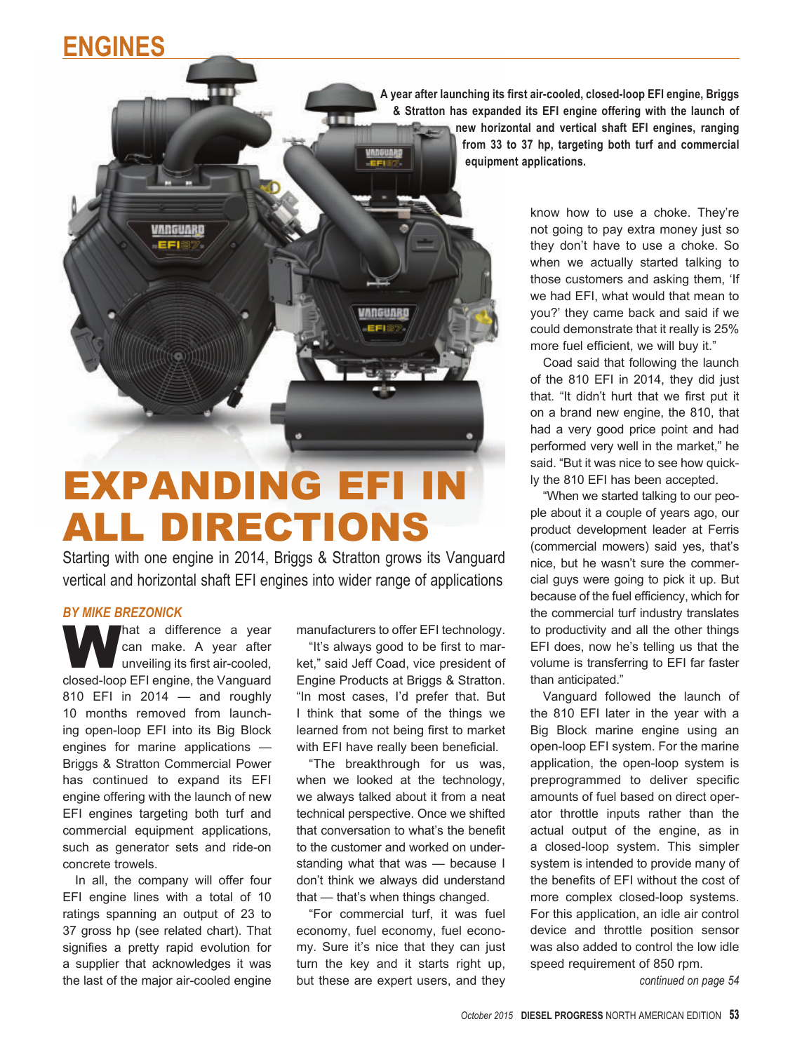## **Engines**

**A year after launching its first air-cooled, closed-loop EFI engine, Briggs & Stratton has expanded its EFI engine offering with the launch of new horizontal and vertical shaft EFI engines, ranging from 33 to 37 hp, targeting both turf and commercial equipment applications.**

VANGUARD EFI®

man

## Expanding EFI In All Directions

Starting with one engine in 2014, Briggs & Stratton grows its Vanguard vertical and horizontal shaft EFI engines into wider range of applications

m

## *BY MIKE BREZONICK*

That a difference a year can make. A year after unveiling its first air-cooled, closed-loop EFI engine, the Vanguard 810 EFI in 2014 — and roughly 10 months removed from launching open-loop EFI into its Big Block engines for marine applications — Briggs & Stratton Commercial Power has continued to expand its EFI engine offering with the launch of new EFI engines targeting both turf and commercial equipment applications, such as generator sets and ride-on concrete trowels.

In all, the company will offer four EFI engine lines with a total of 10 ratings spanning an output of 23 to 37 gross hp (see related chart). That signifies a pretty rapid evolution for a supplier that acknowledges it was the last of the major air-cooled engine

manufacturers to offer EFI technology.

"It's always good to be first to market," said Jeff Coad, vice president of Engine Products at Briggs & Stratton. "In most cases, I'd prefer that. But I think that some of the things we learned from not being first to market with EFI have really been beneficial.

"The breakthrough for us was, when we looked at the technology, we always talked about it from a neat technical perspective. Once we shifted that conversation to what's the benefit to the customer and worked on understanding what that was — because I don't think we always did understand that — that's when things changed.

"For commercial turf, it was fuel economy, fuel economy, fuel economy. Sure it's nice that they can just turn the key and it starts right up, but these are expert users, and they

know how to use a choke. They're not going to pay extra money just so they don't have to use a choke. So when we actually started talking to those customers and asking them, 'If we had EFI, what would that mean to you?' they came back and said if we could demonstrate that it really is 25% more fuel efficient, we will buy it."

Coad said that following the launch of the 810 EFI in 2014, they did just that. "It didn't hurt that we first put it on a brand new engine, the 810, that had a very good price point and had performed very well in the market," he said. "But it was nice to see how quickly the 810 EFI has been accepted.

"When we started talking to our people about it a couple of years ago, our product development leader at Ferris (commercial mowers) said yes, that's nice, but he wasn't sure the commercial guys were going to pick it up. But because of the fuel efficiency, which for the commercial turf industry translates to productivity and all the other things EFI does, now he's telling us that the volume is transferring to EFI far faster than anticipated."

Vanguard followed the launch of the 810 EFI later in the year with a Big Block marine engine using an open-loop EFI system. For the marine application, the open-loop system is preprogrammed to deliver specific amounts of fuel based on direct operator throttle inputs rather than the actual output of the engine, as in a closed-loop system. This simpler system is intended to provide many of the benefits of EFI without the cost of more complex closed-loop systems. For this application, an idle air control device and throttle position sensor was also added to control the low idle speed requirement of 850 rpm.

*continued on page 54*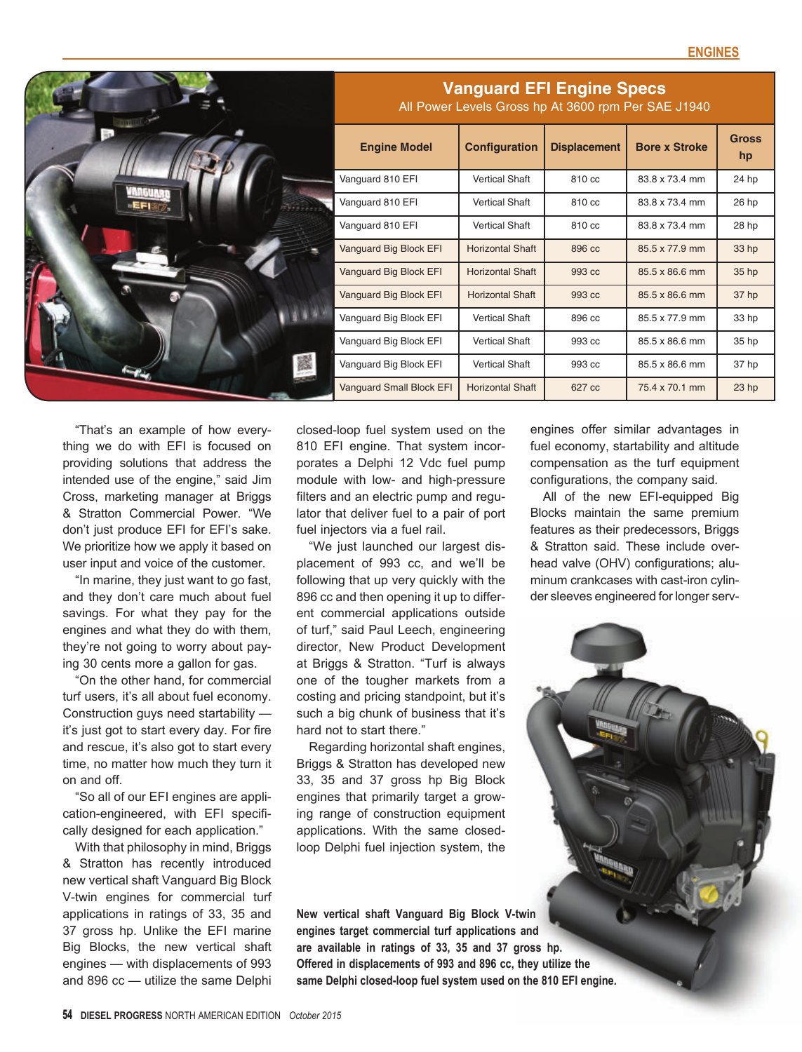|     | <b>Vanguard EFI Engine Specs</b><br>All Power Levels Gross hp At 3600 rpm Per SAE J1940 |                         |                     |                      |                    |
|-----|-----------------------------------------------------------------------------------------|-------------------------|---------------------|----------------------|--------------------|
| EFI | <b>Engine Model</b>                                                                     | Configuration           | <b>Displacement</b> | <b>Bore x Stroke</b> | <b>Gross</b><br>hp |
|     | Vanguard 810 EFI                                                                        | <b>Vertical Shaft</b>   | 810 cc              | 83.8 x 73.4 mm       | 24 hp              |
|     | Vanguard 810 EFI                                                                        | <b>Vertical Shaft</b>   | 810 cc              | 83.8 x 73.4 mm       | 26 hp              |
|     | Vanguard 810 EFI                                                                        | <b>Vertical Shaft</b>   | 810 cc              | 83.8 x 73.4 mm       | 28 hp              |
|     | Vanguard Big Block EFI                                                                  | <b>Horizontal Shaft</b> | 896 cc              | 85.5 x 77.9 mm       | 33 hp              |
|     | Vanguard Big Block EFI                                                                  | <b>Horizontal Shaft</b> | 993 cc              | 85.5 x 86.6 mm       | 35 hp              |
|     | Vanguard Big Block EFI                                                                  | <b>Horizontal Shaft</b> | 993 cc              | 85.5 x 86.6 mm       | 37 hp              |
|     | Vanguard Big Block EFI                                                                  | <b>Vertical Shaft</b>   | 896 cc              | 85.5 x 77.9 mm       | 33 hp              |
|     | Vanguard Big Block EFI                                                                  | <b>Vertical Shaft</b>   | 993 cc              | 85.5 x 86.6 mm       | 35 hp              |
| 羉   | Vanguard Big Block EFI                                                                  | <b>Vertical Shaft</b>   | 993 cc              | 85.5 x 86.6 mm       | 37 hp              |
|     | <b>Vanguard Small Block EFI</b>                                                         | <b>Horizontal Shaft</b> | 627 cc              | 75.4 x 70.1 mm       | 23 <sub>hp</sub>   |

"That's an example of how everything we do with EFI is focused on providing solutions that address the intended use of the engine," said Jim Cross, marketing manager at Briggs & Stratton Commercial Power. "We don't just produce EFI for EFI's sake. We prioritize how we apply it based on user input and voice of the customer.

"In marine, they just want to go fast, and they don't care much about fuel savings. For what they pay for the engines and what they do with them, they're not going to worry about paying 30 cents more a gallon for gas.

"On the other hand, for commercial turf users, it's all about fuel economy. Construction guys need startability it's just got to start every day. For fire and rescue, it's also got to start every time, no matter how much they turn it on and off.

"So all of our EFI engines are application-engineered, with EFI specifically designed for each application."

With that philosophy in mind, Briggs & Stratton has recently introduced new vertical shaft Vanguard Big Block V-twin engines for commercial turf applications in ratings of 33, 35 and 37 gross hp. Unlike the EFI marine Big Blocks, the new vertical shaft engines — with displacements of 993 and 896 cc — utilize the same Delphi

closed-loop fuel system used on the 810 EFI engine. That system incorporates a Delphi 12 Vdc fuel pump module with low- and high-pressure filters and an electric pump and regulator that deliver fuel to a pair of port fuel injectors via a fuel rail.

"We just launched our largest displacement of 993 cc, and we'll be following that up very quickly with the 896 cc and then opening it up to different commercial applications outside of turf," said Paul Leech, engineering director, New Product Development at Briggs & Stratton. "Turf is always one of the tougher markets from a costing and pricing standpoint, but it's such a big chunk of business that it's hard not to start there."

Regarding horizontal shaft engines, Briggs & Stratton has developed new 33, 35 and 37 gross hp Big Block engines that primarily target a growing range of construction equipment applications. With the same closedloop Delphi fuel injection system, the

**New vertical shaft Vanguard Big Block V-twin engines target commercial turf applications and are available in ratings of 33, 35 and 37 gross hp. Offered in displacements of 993 and 896 cc, they utilize the same Delphi closed-loop fuel system used on the 810 EFI engine.**

engines offer similar advantages in fuel economy, startability and altitude compensation as the turf equipment configurations, the company said.

All of the new EFI-equipped Big Blocks maintain the same premium features as their predecessors, Briggs & Stratton said. These include overhead valve (OHV) configurations; aluminum crankcases with cast-iron cylinder sleeves engineered for longer serv-